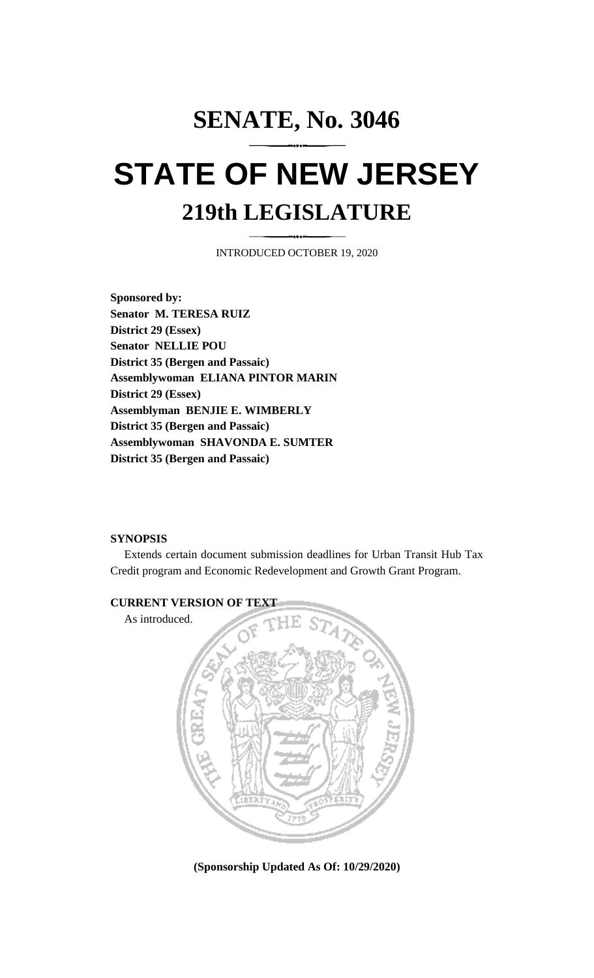# **SENATE, No. 3046 STATE OF NEW JERSEY 219th LEGISLATURE**

INTRODUCED OCTOBER 19, 2020

**Sponsored by: Senator M. TERESA RUIZ District 29 (Essex) Senator NELLIE POU District 35 (Bergen and Passaic) Assemblywoman ELIANA PINTOR MARIN District 29 (Essex) Assemblyman BENJIE E. WIMBERLY District 35 (Bergen and Passaic) Assemblywoman SHAVONDA E. SUMTER District 35 (Bergen and Passaic)**

# **SYNOPSIS**

Extends certain document submission deadlines for Urban Transit Hub Tax Credit program and Economic Redevelopment and Growth Grant Program.



**(Sponsorship Updated As Of: 10/29/2020)**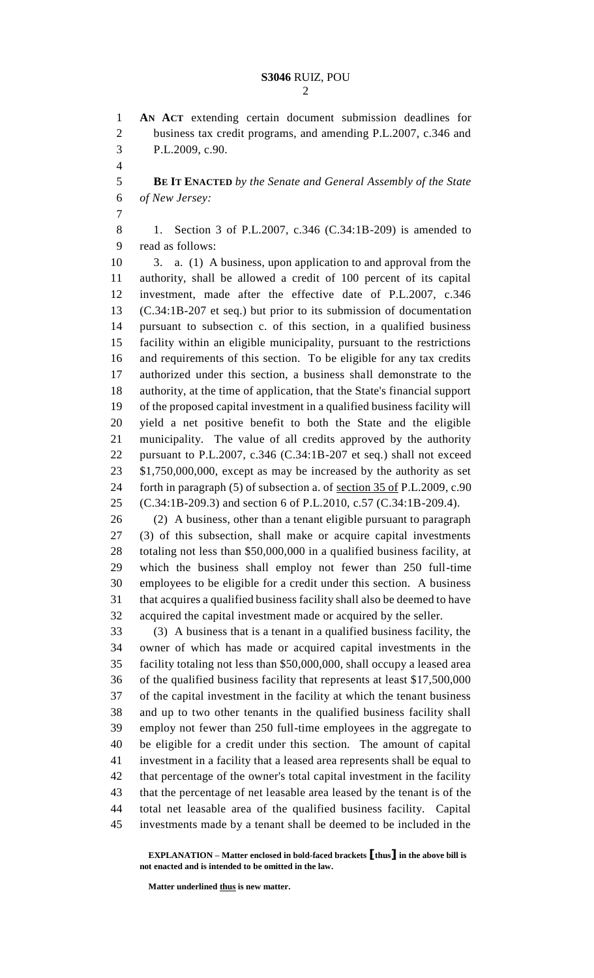**AN ACT** extending certain document submission deadlines for business tax credit programs, and amending P.L.2007, c.346 and P.L.2009, c.90.

 **BE IT ENACTED** *by the Senate and General Assembly of the State of New Jersey:*

 1. Section 3 of P.L.2007, c.346 (C.34:1B-209) is amended to read as follows:

 3. a. (1) A business, upon application to and approval from the authority, shall be allowed a credit of 100 percent of its capital investment, made after the effective date of P.L.2007, c.346 (C.34:1B-207 et seq.) but prior to its submission of documentation pursuant to subsection c. of this section, in a qualified business facility within an eligible municipality, pursuant to the restrictions and requirements of this section. To be eligible for any tax credits authorized under this section, a business shall demonstrate to the authority, at the time of application, that the State's financial support of the proposed capital investment in a qualified business facility will yield a net positive benefit to both the State and the eligible municipality. The value of all credits approved by the authority pursuant to P.L.2007, c.346 (C.34:1B-207 et seq.) shall not exceed \$1,750,000,000, except as may be increased by the authority as set 24 forth in paragraph (5) of subsection a. of <u>section 35 of</u> P.L.2009, c.90 (C.34:1B-209.3) and section 6 of P.L.2010, c.57 (C.34:1B-209.4).

 (2) A business, other than a tenant eligible pursuant to paragraph (3) of this subsection, shall make or acquire capital investments totaling not less than \$50,000,000 in a qualified business facility, at which the business shall employ not fewer than 250 full-time employees to be eligible for a credit under this section. A business that acquires a qualified business facility shall also be deemed to have acquired the capital investment made or acquired by the seller.

 (3) A business that is a tenant in a qualified business facility, the owner of which has made or acquired capital investments in the facility totaling not less than \$50,000,000, shall occupy a leased area of the qualified business facility that represents at least \$17,500,000 of the capital investment in the facility at which the tenant business and up to two other tenants in the qualified business facility shall employ not fewer than 250 full-time employees in the aggregate to be eligible for a credit under this section. The amount of capital investment in a facility that a leased area represents shall be equal to that percentage of the owner's total capital investment in the facility that the percentage of net leasable area leased by the tenant is of the total net leasable area of the qualified business facility. Capital investments made by a tenant shall be deemed to be included in the

**Matter underlined thus is new matter.**

**EXPLANATION – Matter enclosed in bold-faced brackets [thus] in the above bill is not enacted and is intended to be omitted in the law.**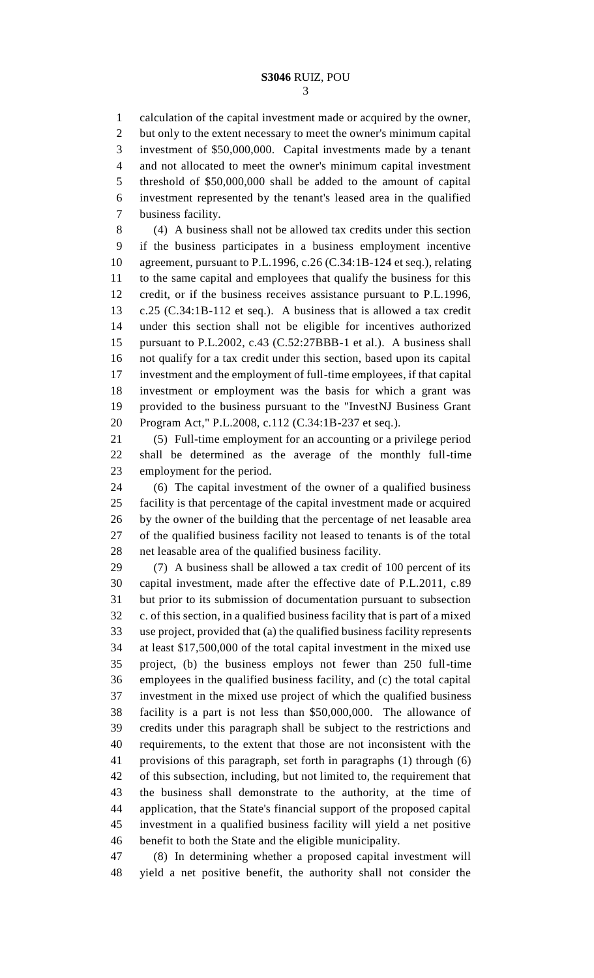calculation of the capital investment made or acquired by the owner, but only to the extent necessary to meet the owner's minimum capital investment of \$50,000,000. Capital investments made by a tenant and not allocated to meet the owner's minimum capital investment threshold of \$50,000,000 shall be added to the amount of capital investment represented by the tenant's leased area in the qualified business facility.

 (4) A business shall not be allowed tax credits under this section if the business participates in a business employment incentive agreement, pursuant to P.L.1996, c.26 (C.34:1B-124 et seq.), relating to the same capital and employees that qualify the business for this credit, or if the business receives assistance pursuant to P.L.1996, c.25 (C.34:1B-112 et seq.). A business that is allowed a tax credit under this section shall not be eligible for incentives authorized pursuant to P.L.2002, c.43 (C.52:27BBB-1 et al.). A business shall not qualify for a tax credit under this section, based upon its capital investment and the employment of full-time employees, if that capital investment or employment was the basis for which a grant was provided to the business pursuant to the "InvestNJ Business Grant Program Act," P.L.2008, c.112 (C.34:1B-237 et seq.).

 (5) Full-time employment for an accounting or a privilege period shall be determined as the average of the monthly full-time employment for the period.

 (6) The capital investment of the owner of a qualified business facility is that percentage of the capital investment made or acquired by the owner of the building that the percentage of net leasable area of the qualified business facility not leased to tenants is of the total net leasable area of the qualified business facility.

 (7) A business shall be allowed a tax credit of 100 percent of its capital investment, made after the effective date of P.L.2011, c.89 but prior to its submission of documentation pursuant to subsection c. of this section, in a qualified business facility that is part of a mixed use project, provided that (a) the qualified business facility represents at least \$17,500,000 of the total capital investment in the mixed use project, (b) the business employs not fewer than 250 full-time employees in the qualified business facility, and (c) the total capital investment in the mixed use project of which the qualified business facility is a part is not less than \$50,000,000. The allowance of credits under this paragraph shall be subject to the restrictions and requirements, to the extent that those are not inconsistent with the provisions of this paragraph, set forth in paragraphs (1) through (6) of this subsection, including, but not limited to, the requirement that the business shall demonstrate to the authority, at the time of application, that the State's financial support of the proposed capital investment in a qualified business facility will yield a net positive benefit to both the State and the eligible municipality.

 (8) In determining whether a proposed capital investment will yield a net positive benefit, the authority shall not consider the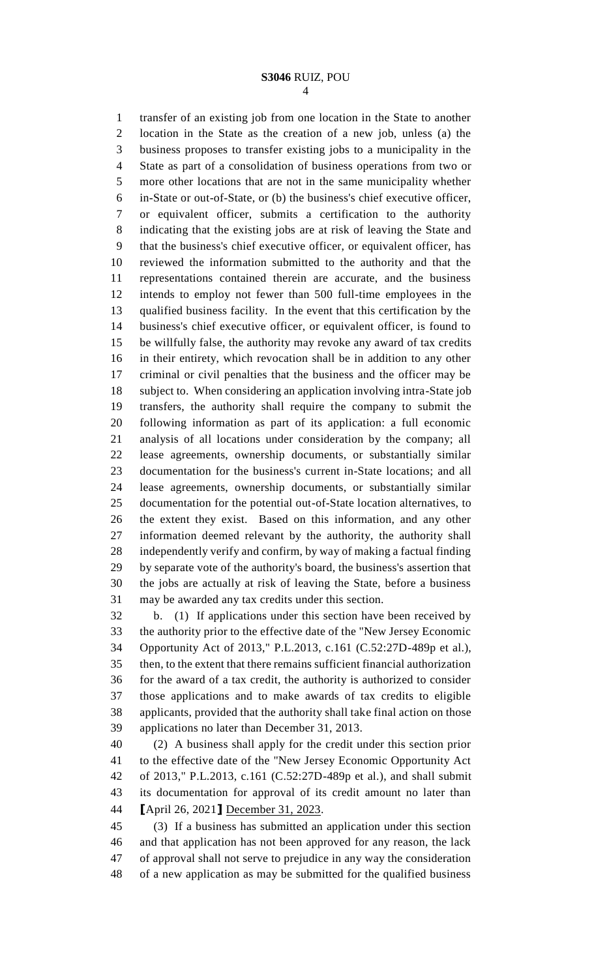transfer of an existing job from one location in the State to another location in the State as the creation of a new job, unless (a) the business proposes to transfer existing jobs to a municipality in the State as part of a consolidation of business operations from two or more other locations that are not in the same municipality whether in-State or out-of-State, or (b) the business's chief executive officer, or equivalent officer, submits a certification to the authority indicating that the existing jobs are at risk of leaving the State and that the business's chief executive officer, or equivalent officer, has reviewed the information submitted to the authority and that the representations contained therein are accurate, and the business intends to employ not fewer than 500 full-time employees in the qualified business facility. In the event that this certification by the business's chief executive officer, or equivalent officer, is found to be willfully false, the authority may revoke any award of tax credits in their entirety, which revocation shall be in addition to any other criminal or civil penalties that the business and the officer may be subject to. When considering an application involving intra-State job transfers, the authority shall require the company to submit the following information as part of its application: a full economic analysis of all locations under consideration by the company; all lease agreements, ownership documents, or substantially similar documentation for the business's current in-State locations; and all lease agreements, ownership documents, or substantially similar documentation for the potential out-of-State location alternatives, to the extent they exist. Based on this information, and any other information deemed relevant by the authority, the authority shall independently verify and confirm, by way of making a factual finding by separate vote of the authority's board, the business's assertion that the jobs are actually at risk of leaving the State, before a business may be awarded any tax credits under this section.

 b. (1) If applications under this section have been received by the authority prior to the effective date of the "New Jersey Economic Opportunity Act of 2013," P.L.2013, c.161 (C.52:27D-489p et al.), then, to the extent that there remains sufficient financial authorization for the award of a tax credit, the authority is authorized to consider those applications and to make awards of tax credits to eligible applicants, provided that the authority shall take final action on those applications no later than December 31, 2013.

 (2) A business shall apply for the credit under this section prior to the effective date of the "New Jersey Economic Opportunity Act of 2013," P.L.2013, c.161 (C.52:27D-489p et al.), and shall submit its documentation for approval of its credit amount no later than **[**April 26, 2021**]** December 31, 2023.

 (3) If a business has submitted an application under this section and that application has not been approved for any reason, the lack of approval shall not serve to prejudice in any way the consideration of a new application as may be submitted for the qualified business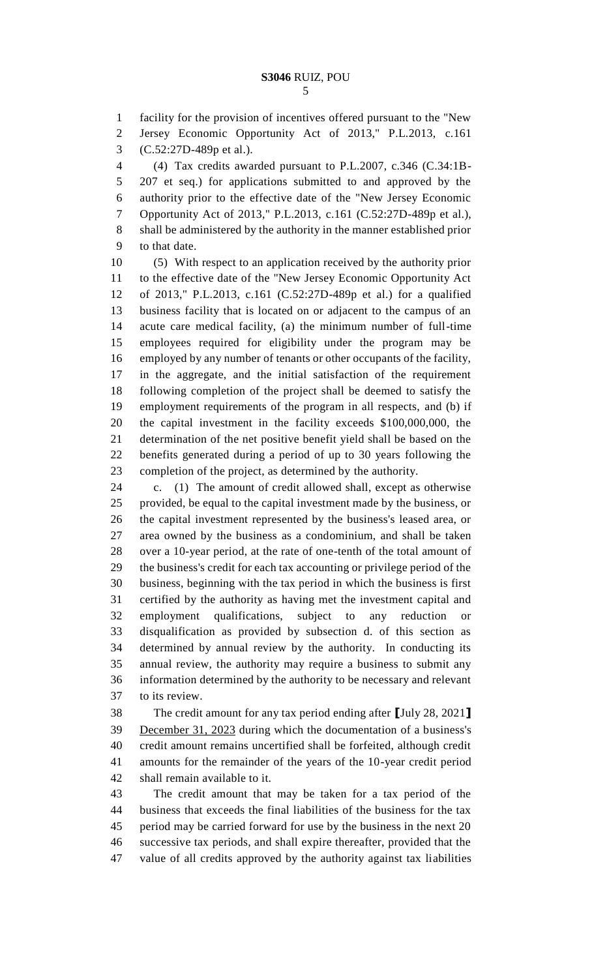facility for the provision of incentives offered pursuant to the "New Jersey Economic Opportunity Act of 2013," P.L.2013, c.161 (C.52:27D-489p et al.).

 (4) Tax credits awarded pursuant to P.L.2007, c.346 (C.34:1B- 207 et seq.) for applications submitted to and approved by the authority prior to the effective date of the "New Jersey Economic Opportunity Act of 2013," P.L.2013, c.161 (C.52:27D-489p et al.), shall be administered by the authority in the manner established prior to that date.

 (5) With respect to an application received by the authority prior to the effective date of the "New Jersey Economic Opportunity Act of 2013," P.L.2013, c.161 (C.52:27D-489p et al.) for a qualified business facility that is located on or adjacent to the campus of an acute care medical facility, (a) the minimum number of full-time employees required for eligibility under the program may be employed by any number of tenants or other occupants of the facility, in the aggregate, and the initial satisfaction of the requirement following completion of the project shall be deemed to satisfy the employment requirements of the program in all respects, and (b) if the capital investment in the facility exceeds \$100,000,000, the determination of the net positive benefit yield shall be based on the benefits generated during a period of up to 30 years following the completion of the project, as determined by the authority.

 c. (1) The amount of credit allowed shall, except as otherwise provided, be equal to the capital investment made by the business, or the capital investment represented by the business's leased area, or area owned by the business as a condominium, and shall be taken over a 10-year period, at the rate of one-tenth of the total amount of the business's credit for each tax accounting or privilege period of the business, beginning with the tax period in which the business is first certified by the authority as having met the investment capital and 32 employment qualifications, subject to any reduction disqualification as provided by subsection d. of this section as determined by annual review by the authority. In conducting its annual review, the authority may require a business to submit any information determined by the authority to be necessary and relevant to its review.

 The credit amount for any tax period ending after **[**July 28, 2021**]** December 31, 2023 during which the documentation of a business's credit amount remains uncertified shall be forfeited, although credit amounts for the remainder of the years of the 10-year credit period shall remain available to it.

 The credit amount that may be taken for a tax period of the business that exceeds the final liabilities of the business for the tax period may be carried forward for use by the business in the next 20 successive tax periods, and shall expire thereafter, provided that the value of all credits approved by the authority against tax liabilities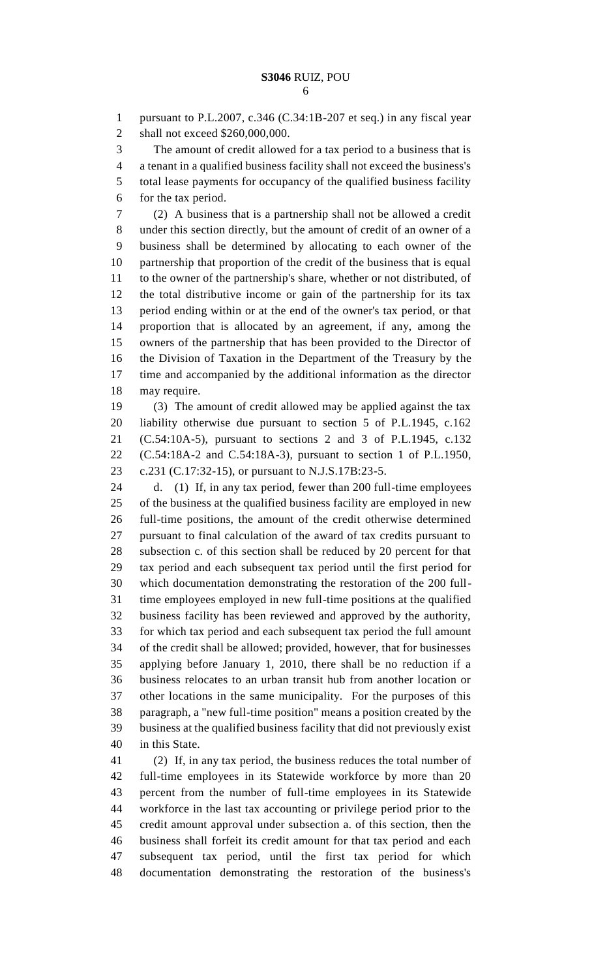pursuant to P.L.2007, c.346 (C.34:1B-207 et seq.) in any fiscal year shall not exceed \$260,000,000.

The amount of credit allowed for a tax period to a business that is

a tenant in a qualified business facility shall not exceed the business's

 total lease payments for occupancy of the qualified business facility for the tax period.

 (2) A business that is a partnership shall not be allowed a credit under this section directly, but the amount of credit of an owner of a business shall be determined by allocating to each owner of the partnership that proportion of the credit of the business that is equal to the owner of the partnership's share, whether or not distributed, of the total distributive income or gain of the partnership for its tax period ending within or at the end of the owner's tax period, or that proportion that is allocated by an agreement, if any, among the owners of the partnership that has been provided to the Director of the Division of Taxation in the Department of the Treasury by the time and accompanied by the additional information as the director may require.

 (3) The amount of credit allowed may be applied against the tax liability otherwise due pursuant to section 5 of P.L.1945, c.162 (C.54:10A-5), pursuant to sections 2 and 3 of P.L.1945, c.132 (C.54:18A-2 and C.54:18A-3), pursuant to section 1 of P.L.1950, c.231 (C.17:32-15), or pursuant to N.J.S.17B:23-5.

 d. (1) If, in any tax period, fewer than 200 full-time employees of the business at the qualified business facility are employed in new full-time positions, the amount of the credit otherwise determined pursuant to final calculation of the award of tax credits pursuant to subsection c. of this section shall be reduced by 20 percent for that tax period and each subsequent tax period until the first period for which documentation demonstrating the restoration of the 200 full- time employees employed in new full-time positions at the qualified business facility has been reviewed and approved by the authority, for which tax period and each subsequent tax period the full amount of the credit shall be allowed; provided, however, that for businesses applying before January 1, 2010, there shall be no reduction if a business relocates to an urban transit hub from another location or other locations in the same municipality. For the purposes of this paragraph, a "new full-time position" means a position created by the business at the qualified business facility that did not previously exist in this State.

 (2) If, in any tax period, the business reduces the total number of full-time employees in its Statewide workforce by more than 20 percent from the number of full-time employees in its Statewide workforce in the last tax accounting or privilege period prior to the credit amount approval under subsection a. of this section, then the business shall forfeit its credit amount for that tax period and each subsequent tax period, until the first tax period for which documentation demonstrating the restoration of the business's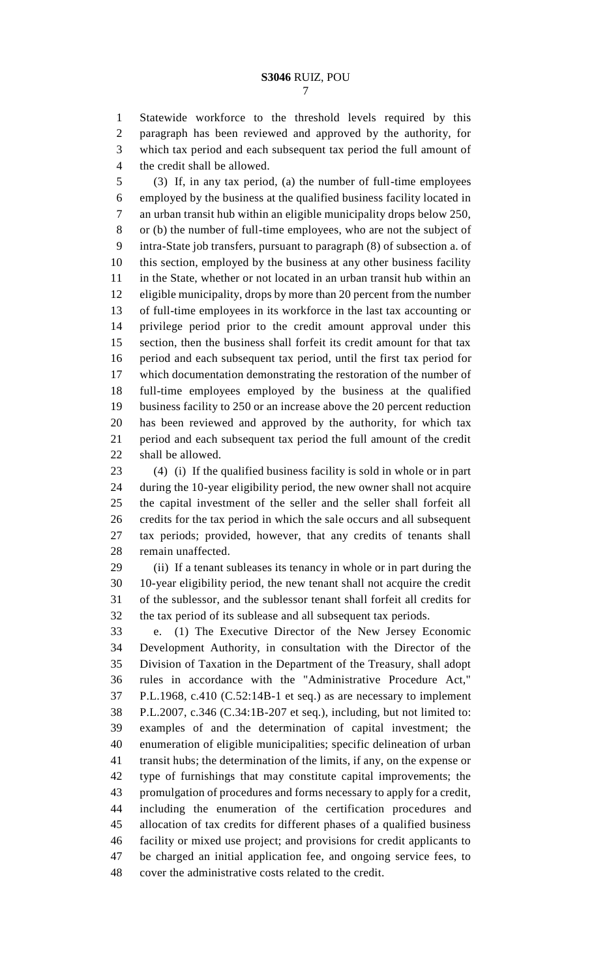Statewide workforce to the threshold levels required by this paragraph has been reviewed and approved by the authority, for which tax period and each subsequent tax period the full amount of the credit shall be allowed.

 (3) If, in any tax period, (a) the number of full-time employees employed by the business at the qualified business facility located in an urban transit hub within an eligible municipality drops below 250, or (b) the number of full-time employees, who are not the subject of intra-State job transfers, pursuant to paragraph (8) of subsection a. of this section, employed by the business at any other business facility in the State, whether or not located in an urban transit hub within an eligible municipality, drops by more than 20 percent from the number of full-time employees in its workforce in the last tax accounting or privilege period prior to the credit amount approval under this section, then the business shall forfeit its credit amount for that tax period and each subsequent tax period, until the first tax period for which documentation demonstrating the restoration of the number of full-time employees employed by the business at the qualified business facility to 250 or an increase above the 20 percent reduction has been reviewed and approved by the authority, for which tax period and each subsequent tax period the full amount of the credit shall be allowed.

 (4) (i) If the qualified business facility is sold in whole or in part during the 10-year eligibility period, the new owner shall not acquire the capital investment of the seller and the seller shall forfeit all credits for the tax period in which the sale occurs and all subsequent tax periods; provided, however, that any credits of tenants shall remain unaffected.

 (ii) If a tenant subleases its tenancy in whole or in part during the 10-year eligibility period, the new tenant shall not acquire the credit of the sublessor, and the sublessor tenant shall forfeit all credits for the tax period of its sublease and all subsequent tax periods.

 e. (1) The Executive Director of the New Jersey Economic Development Authority, in consultation with the Director of the Division of Taxation in the Department of the Treasury, shall adopt rules in accordance with the "Administrative Procedure Act," P.L.1968, c.410 (C.52:14B-1 et seq.) as are necessary to implement P.L.2007, c.346 (C.34:1B-207 et seq.), including, but not limited to: examples of and the determination of capital investment; the enumeration of eligible municipalities; specific delineation of urban transit hubs; the determination of the limits, if any, on the expense or type of furnishings that may constitute capital improvements; the promulgation of procedures and forms necessary to apply for a credit, including the enumeration of the certification procedures and allocation of tax credits for different phases of a qualified business facility or mixed use project; and provisions for credit applicants to be charged an initial application fee, and ongoing service fees, to cover the administrative costs related to the credit.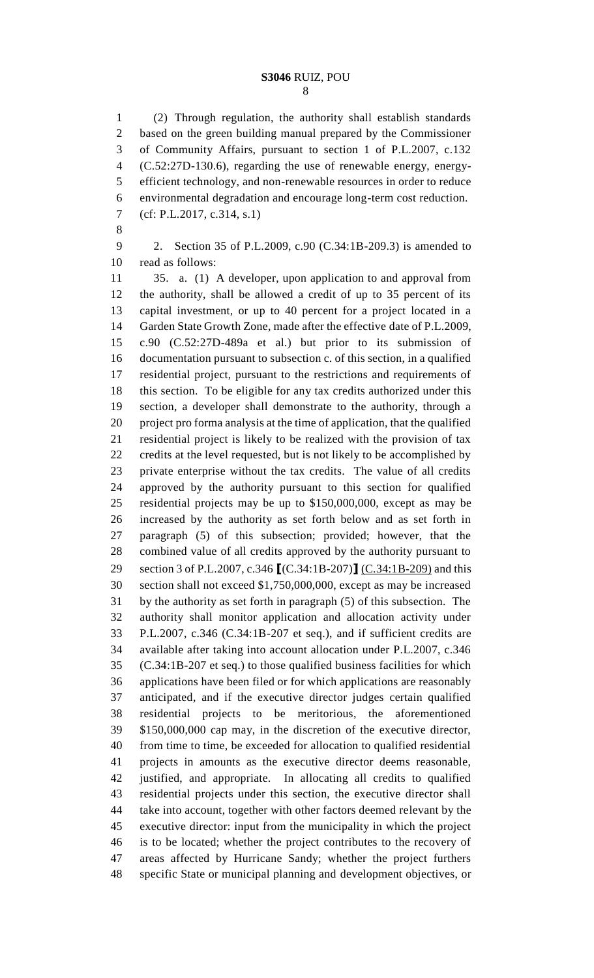(2) Through regulation, the authority shall establish standards based on the green building manual prepared by the Commissioner of Community Affairs, pursuant to section 1 of P.L.2007, c.132 (C.52:27D-130.6), regarding the use of renewable energy, energy- efficient technology, and non-renewable resources in order to reduce environmental degradation and encourage long-term cost reduction. (cf: P.L.2017, c.314, s.1)

 2. Section 35 of P.L.2009, c.90 (C.34:1B-209.3) is amended to read as follows:

 35. a. (1) A developer, upon application to and approval from the authority, shall be allowed a credit of up to 35 percent of its capital investment, or up to 40 percent for a project located in a Garden State Growth Zone, made after the effective date of P.L.2009, c.90 (C.52:27D-489a et al.) but prior to its submission of documentation pursuant to subsection c. of this section, in a qualified residential project, pursuant to the restrictions and requirements of this section. To be eligible for any tax credits authorized under this section, a developer shall demonstrate to the authority, through a project pro forma analysis at the time of application, that the qualified residential project is likely to be realized with the provision of tax credits at the level requested, but is not likely to be accomplished by private enterprise without the tax credits. The value of all credits approved by the authority pursuant to this section for qualified residential projects may be up to \$150,000,000, except as may be increased by the authority as set forth below and as set forth in paragraph (5) of this subsection; provided; however, that the combined value of all credits approved by the authority pursuant to section 3 of P.L.2007, c.346 **[**(C.34:1B-207)**]** (C.34:1B-209) and this section shall not exceed \$1,750,000,000, except as may be increased by the authority as set forth in paragraph (5) of this subsection. The authority shall monitor application and allocation activity under P.L.2007, c.346 (C.34:1B-207 et seq.), and if sufficient credits are available after taking into account allocation under P.L.2007, c.346 (C.34:1B-207 et seq.) to those qualified business facilities for which applications have been filed or for which applications are reasonably anticipated, and if the executive director judges certain qualified residential projects to be meritorious, the aforementioned \$150,000,000 cap may, in the discretion of the executive director, from time to time, be exceeded for allocation to qualified residential projects in amounts as the executive director deems reasonable, justified, and appropriate. In allocating all credits to qualified residential projects under this section, the executive director shall take into account, together with other factors deemed relevant by the executive director: input from the municipality in which the project is to be located; whether the project contributes to the recovery of areas affected by Hurricane Sandy; whether the project furthers specific State or municipal planning and development objectives, or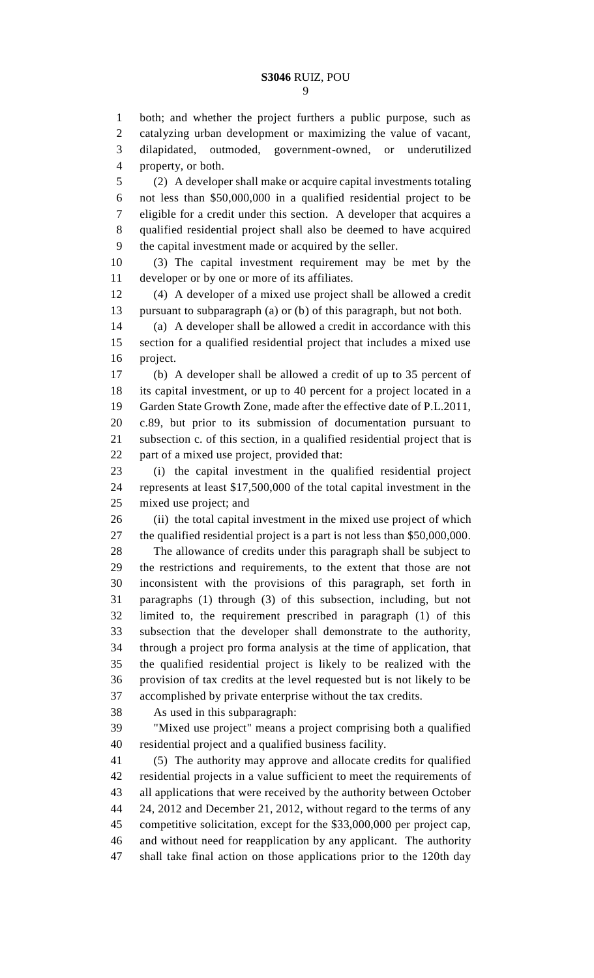both; and whether the project furthers a public purpose, such as

 catalyzing urban development or maximizing the value of vacant, dilapidated, outmoded, government-owned, or underutilized property, or both.

 (2) A developer shall make or acquire capital investments totaling not less than \$50,000,000 in a qualified residential project to be eligible for a credit under this section. A developer that acquires a qualified residential project shall also be deemed to have acquired the capital investment made or acquired by the seller.

 (3) The capital investment requirement may be met by the developer or by one or more of its affiliates.

 (4) A developer of a mixed use project shall be allowed a credit pursuant to subparagraph (a) or (b) of this paragraph, but not both.

 (a) A developer shall be allowed a credit in accordance with this section for a qualified residential project that includes a mixed use project.

 (b) A developer shall be allowed a credit of up to 35 percent of its capital investment, or up to 40 percent for a project located in a Garden State Growth Zone, made after the effective date of P.L.2011, c.89, but prior to its submission of documentation pursuant to subsection c. of this section, in a qualified residential project that is part of a mixed use project, provided that:

 (i) the capital investment in the qualified residential project represents at least \$17,500,000 of the total capital investment in the mixed use project; and

 (ii) the total capital investment in the mixed use project of which the qualified residential project is a part is not less than \$50,000,000.

 The allowance of credits under this paragraph shall be subject to the restrictions and requirements, to the extent that those are not inconsistent with the provisions of this paragraph, set forth in paragraphs (1) through (3) of this subsection, including, but not limited to, the requirement prescribed in paragraph (1) of this subsection that the developer shall demonstrate to the authority, through a project pro forma analysis at the time of application, that the qualified residential project is likely to be realized with the provision of tax credits at the level requested but is not likely to be accomplished by private enterprise without the tax credits.

As used in this subparagraph:

 "Mixed use project" means a project comprising both a qualified residential project and a qualified business facility.

 (5) The authority may approve and allocate credits for qualified residential projects in a value sufficient to meet the requirements of all applications that were received by the authority between October 24, 2012 and December 21, 2012, without regard to the terms of any competitive solicitation, except for the \$33,000,000 per project cap, and without need for reapplication by any applicant. The authority shall take final action on those applications prior to the 120th day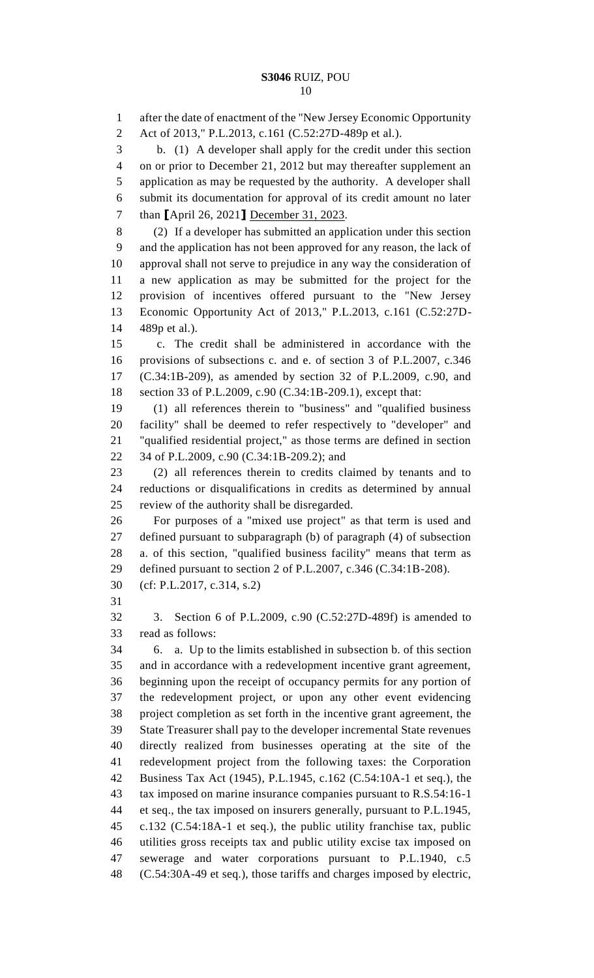after the date of enactment of the "New Jersey Economic Opportunity Act of 2013," P.L.2013, c.161 (C.52:27D-489p et al.). b. (1) A developer shall apply for the credit under this section on or prior to December 21, 2012 but may thereafter supplement an application as may be requested by the authority. A developer shall submit its documentation for approval of its credit amount no later than **[**April 26, 2021**]** December 31, 2023. (2) If a developer has submitted an application under this section and the application has not been approved for any reason, the lack of approval shall not serve to prejudice in any way the consideration of a new application as may be submitted for the project for the provision of incentives offered pursuant to the "New Jersey Economic Opportunity Act of 2013," P.L.2013, c.161 (C.52:27D- 489p et al.). c. The credit shall be administered in accordance with the provisions of subsections c. and e. of section 3 of P.L.2007, c.346 (C.34:1B-209), as amended by section 32 of P.L.2009, c.90, and section 33 of P.L.2009, c.90 (C.34:1B-209.1), except that: (1) all references therein to "business" and "qualified business facility" shall be deemed to refer respectively to "developer" and "qualified residential project," as those terms are defined in section 34 of P.L.2009, c.90 (C.34:1B-209.2); and (2) all references therein to credits claimed by tenants and to reductions or disqualifications in credits as determined by annual review of the authority shall be disregarded. For purposes of a "mixed use project" as that term is used and defined pursuant to subparagraph (b) of paragraph (4) of subsection a. of this section, "qualified business facility" means that term as defined pursuant to section 2 of P.L.2007, c.346 (C.34:1B-208). (cf: P.L.2017, c.314, s.2) 3. Section 6 of P.L.2009, c.90 (C.52:27D-489f) is amended to read as follows: 6. a. Up to the limits established in subsection b. of this section and in accordance with a redevelopment incentive grant agreement, beginning upon the receipt of occupancy permits for any portion of the redevelopment project, or upon any other event evidencing project completion as set forth in the incentive grant agreement, the State Treasurer shall pay to the developer incremental State revenues directly realized from businesses operating at the site of the redevelopment project from the following taxes: the Corporation Business Tax Act (1945), P.L.1945, c.162 (C.54:10A-1 et seq.), the tax imposed on marine insurance companies pursuant to R.S.54:16-1 et seq., the tax imposed on insurers generally, pursuant to P.L.1945, c.132 (C.54:18A-1 et seq.), the public utility franchise tax, public utilities gross receipts tax and public utility excise tax imposed on sewerage and water corporations pursuant to P.L.1940, c.5 (C.54:30A-49 et seq.), those tariffs and charges imposed by electric,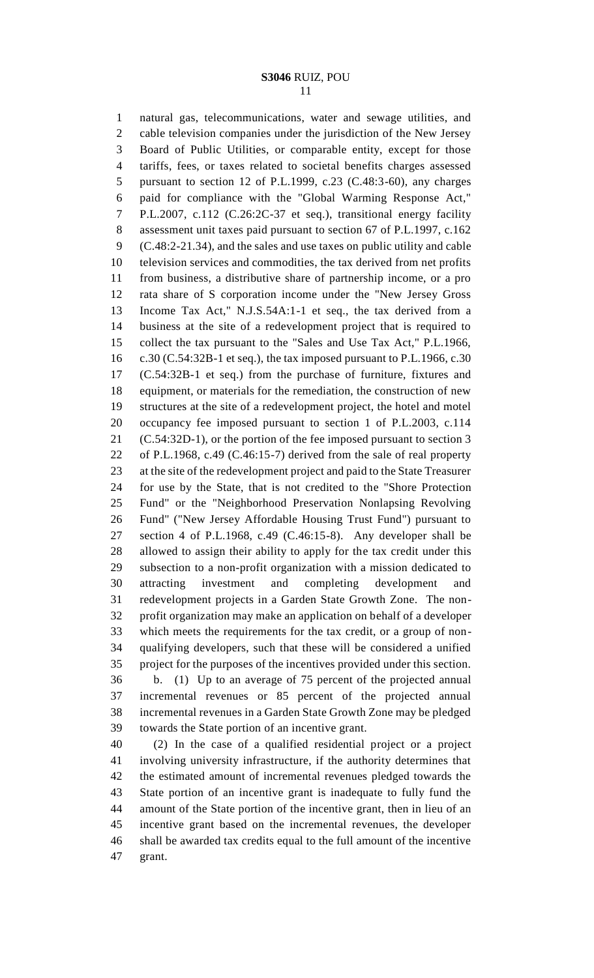natural gas, telecommunications, water and sewage utilities, and cable television companies under the jurisdiction of the New Jersey Board of Public Utilities, or comparable entity, except for those tariffs, fees, or taxes related to societal benefits charges assessed pursuant to section 12 of P.L.1999, c.23 (C.48:3-60), any charges paid for compliance with the "Global Warming Response Act," P.L.2007, c.112 (C.26:2C-37 et seq.), transitional energy facility assessment unit taxes paid pursuant to section 67 of P.L.1997, c.162 (C.48:2-21.34), and the sales and use taxes on public utility and cable television services and commodities, the tax derived from net profits from business, a distributive share of partnership income, or a pro rata share of S corporation income under the "New Jersey Gross Income Tax Act," N.J.S.54A:1-1 et seq., the tax derived from a business at the site of a redevelopment project that is required to collect the tax pursuant to the "Sales and Use Tax Act," P.L.1966, c.30 (C.54:32B-1 et seq.), the tax imposed pursuant to P.L.1966, c.30 (C.54:32B-1 et seq.) from the purchase of furniture, fixtures and equipment, or materials for the remediation, the construction of new structures at the site of a redevelopment project, the hotel and motel occupancy fee imposed pursuant to section 1 of P.L.2003, c.114 (C.54:32D-1), or the portion of the fee imposed pursuant to section 3 of P.L.1968, c.49 (C.46:15-7) derived from the sale of real property at the site of the redevelopment project and paid to the State Treasurer for use by the State, that is not credited to the "Shore Protection Fund" or the "Neighborhood Preservation Nonlapsing Revolving Fund" ("New Jersey Affordable Housing Trust Fund") pursuant to section 4 of P.L.1968, c.49 (C.46:15-8). Any developer shall be allowed to assign their ability to apply for the tax credit under this subsection to a non-profit organization with a mission dedicated to attracting investment and completing development and redevelopment projects in a Garden State Growth Zone. The non- profit organization may make an application on behalf of a developer which meets the requirements for the tax credit, or a group of non- qualifying developers, such that these will be considered a unified project for the purposes of the incentives provided under this section.

 b. (1) Up to an average of 75 percent of the projected annual incremental revenues or 85 percent of the projected annual incremental revenues in a Garden State Growth Zone may be pledged towards the State portion of an incentive grant.

 (2) In the case of a qualified residential project or a project involving university infrastructure, if the authority determines that the estimated amount of incremental revenues pledged towards the State portion of an incentive grant is inadequate to fully fund the amount of the State portion of the incentive grant, then in lieu of an incentive grant based on the incremental revenues, the developer shall be awarded tax credits equal to the full amount of the incentive grant.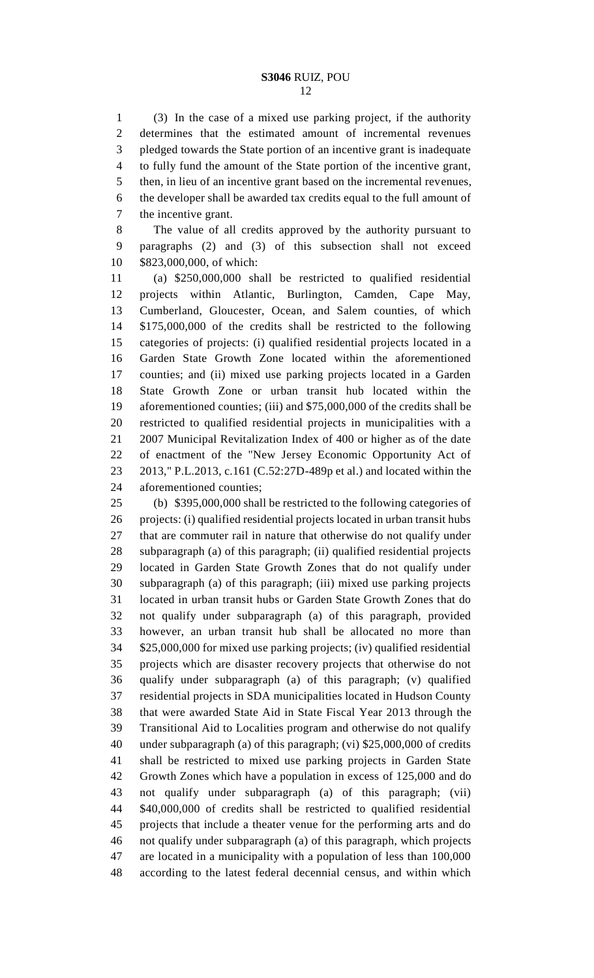(3) In the case of a mixed use parking project, if the authority determines that the estimated amount of incremental revenues pledged towards the State portion of an incentive grant is inadequate to fully fund the amount of the State portion of the incentive grant, then, in lieu of an incentive grant based on the incremental revenues, the developer shall be awarded tax credits equal to the full amount of the incentive grant.

 The value of all credits approved by the authority pursuant to paragraphs (2) and (3) of this subsection shall not exceed \$823,000,000, of which:

 (a) \$250,000,000 shall be restricted to qualified residential projects within Atlantic, Burlington, Camden, Cape May, Cumberland, Gloucester, Ocean, and Salem counties, of which \$175,000,000 of the credits shall be restricted to the following categories of projects: (i) qualified residential projects located in a Garden State Growth Zone located within the aforementioned counties; and (ii) mixed use parking projects located in a Garden State Growth Zone or urban transit hub located within the aforementioned counties; (iii) and \$75,000,000 of the credits shall be restricted to qualified residential projects in municipalities with a 2007 Municipal Revitalization Index of 400 or higher as of the date of enactment of the "New Jersey Economic Opportunity Act of 2013," P.L.2013, c.161 (C.52:27D-489p et al.) and located within the aforementioned counties;

 (b) \$395,000,000 shall be restricted to the following categories of projects: (i) qualified residential projects located in urban transit hubs that are commuter rail in nature that otherwise do not qualify under subparagraph (a) of this paragraph; (ii) qualified residential projects located in Garden State Growth Zones that do not qualify under subparagraph (a) of this paragraph; (iii) mixed use parking projects located in urban transit hubs or Garden State Growth Zones that do not qualify under subparagraph (a) of this paragraph, provided however, an urban transit hub shall be allocated no more than \$25,000,000 for mixed use parking projects; (iv) qualified residential projects which are disaster recovery projects that otherwise do not qualify under subparagraph (a) of this paragraph; (v) qualified residential projects in SDA municipalities located in Hudson County that were awarded State Aid in State Fiscal Year 2013 through the Transitional Aid to Localities program and otherwise do not qualify under subparagraph (a) of this paragraph; (vi) \$25,000,000 of credits shall be restricted to mixed use parking projects in Garden State Growth Zones which have a population in excess of 125,000 and do not qualify under subparagraph (a) of this paragraph; (vii) \$40,000,000 of credits shall be restricted to qualified residential projects that include a theater venue for the performing arts and do not qualify under subparagraph (a) of this paragraph, which projects are located in a municipality with a population of less than 100,000 according to the latest federal decennial census, and within which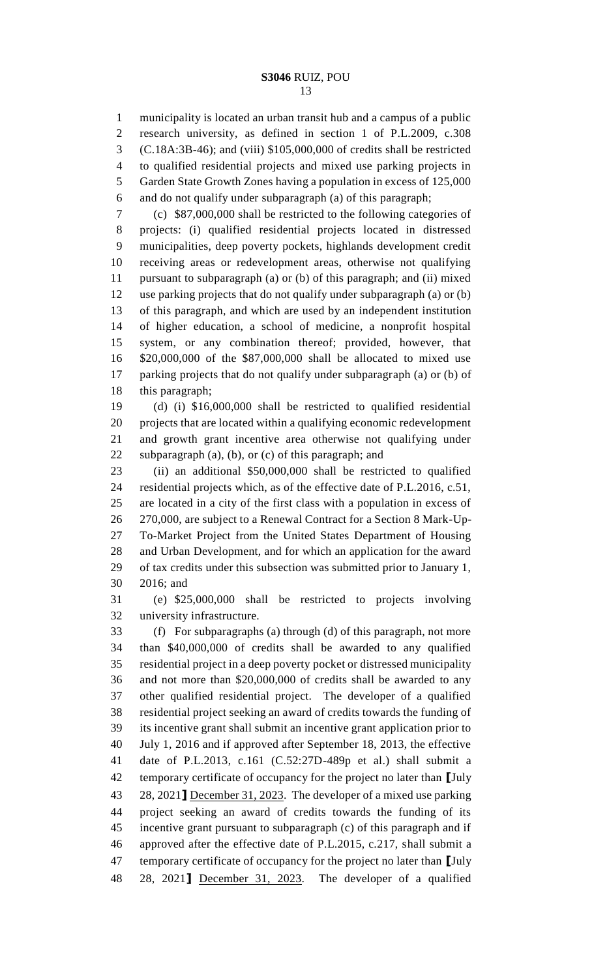municipality is located an urban transit hub and a campus of a public research university, as defined in section 1 of P.L.2009, c.308 (C.18A:3B-46); and (viii) \$105,000,000 of credits shall be restricted to qualified residential projects and mixed use parking projects in Garden State Growth Zones having a population in excess of 125,000 and do not qualify under subparagraph (a) of this paragraph;

 (c) \$87,000,000 shall be restricted to the following categories of projects: (i) qualified residential projects located in distressed municipalities, deep poverty pockets, highlands development credit receiving areas or redevelopment areas, otherwise not qualifying pursuant to subparagraph (a) or (b) of this paragraph; and (ii) mixed use parking projects that do not qualify under subparagraph (a) or (b) of this paragraph, and which are used by an independent institution of higher education, a school of medicine, a nonprofit hospital system, or any combination thereof; provided, however, that \$20,000,000 of the \$87,000,000 shall be allocated to mixed use parking projects that do not qualify under subparagraph (a) or (b) of this paragraph;

 (d) (i) \$16,000,000 shall be restricted to qualified residential projects that are located within a qualifying economic redevelopment and growth grant incentive area otherwise not qualifying under subparagraph (a), (b), or (c) of this paragraph; and

 (ii) an additional \$50,000,000 shall be restricted to qualified residential projects which, as of the effective date of P.L.2016, c.51, are located in a city of the first class with a population in excess of 270,000, are subject to a Renewal Contract for a Section 8 Mark-Up- To-Market Project from the United States Department of Housing and Urban Development, and for which an application for the award of tax credits under this subsection was submitted prior to January 1, 2016; and

 (e) \$25,000,000 shall be restricted to projects involving university infrastructure.

 (f) For subparagraphs (a) through (d) of this paragraph, not more than \$40,000,000 of credits shall be awarded to any qualified residential project in a deep poverty pocket or distressed municipality and not more than \$20,000,000 of credits shall be awarded to any other qualified residential project. The developer of a qualified residential project seeking an award of credits towards the funding of its incentive grant shall submit an incentive grant application prior to July 1, 2016 and if approved after September 18, 2013, the effective date of P.L.2013, c.161 (C.52:27D-489p et al.) shall submit a temporary certificate of occupancy for the project no later than **[**July 28, 2021**]** December 31, 2023. The developer of a mixed use parking project seeking an award of credits towards the funding of its incentive grant pursuant to subparagraph (c) of this paragraph and if approved after the effective date of P.L.2015, c.217, shall submit a temporary certificate of occupancy for the project no later than **[**July 28, 2021**]** December 31, 2023. The developer of a qualified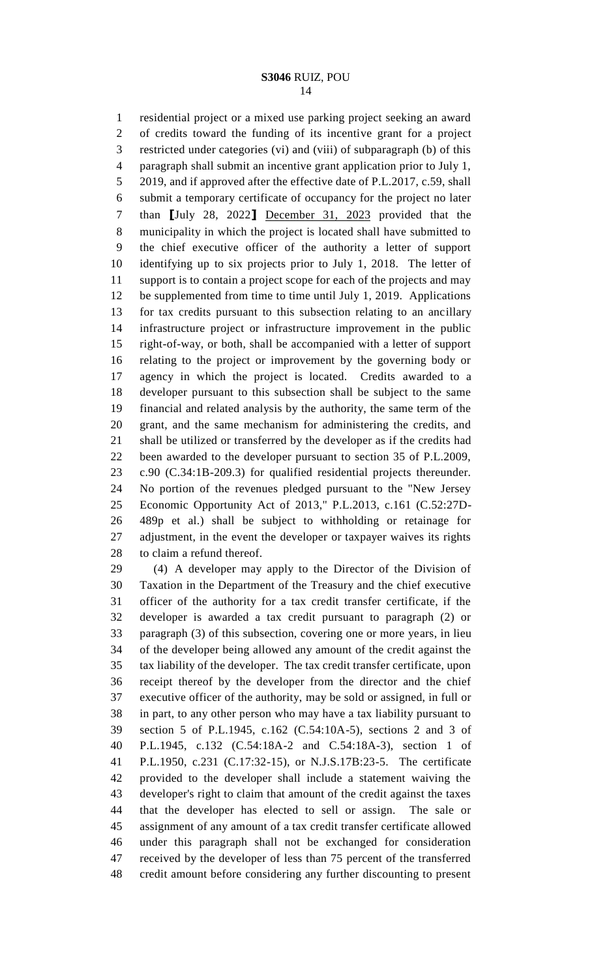residential project or a mixed use parking project seeking an award of credits toward the funding of its incentive grant for a project restricted under categories (vi) and (viii) of subparagraph (b) of this paragraph shall submit an incentive grant application prior to July 1, 5 2019, and if approved after the effective date of P.L.2017, c.59, shall submit a temporary certificate of occupancy for the project no later than **[**July 28, 2022**]** December 31, 2023 provided that the municipality in which the project is located shall have submitted to the chief executive officer of the authority a letter of support identifying up to six projects prior to July 1, 2018. The letter of support is to contain a project scope for each of the projects and may be supplemented from time to time until July 1, 2019. Applications for tax credits pursuant to this subsection relating to an ancillary infrastructure project or infrastructure improvement in the public right-of-way, or both, shall be accompanied with a letter of support relating to the project or improvement by the governing body or agency in which the project is located. Credits awarded to a developer pursuant to this subsection shall be subject to the same financial and related analysis by the authority, the same term of the grant, and the same mechanism for administering the credits, and shall be utilized or transferred by the developer as if the credits had been awarded to the developer pursuant to section 35 of P.L.2009, c.90 (C.34:1B-209.3) for qualified residential projects thereunder. No portion of the revenues pledged pursuant to the "New Jersey Economic Opportunity Act of 2013," P.L.2013, c.161 (C.52:27D- 489p et al.) shall be subject to withholding or retainage for adjustment, in the event the developer or taxpayer waives its rights to claim a refund thereof.

 (4) A developer may apply to the Director of the Division of Taxation in the Department of the Treasury and the chief executive officer of the authority for a tax credit transfer certificate, if the developer is awarded a tax credit pursuant to paragraph (2) or paragraph (3) of this subsection, covering one or more years, in lieu of the developer being allowed any amount of the credit against the tax liability of the developer. The tax credit transfer certificate, upon receipt thereof by the developer from the director and the chief executive officer of the authority, may be sold or assigned, in full or in part, to any other person who may have a tax liability pursuant to section 5 of P.L.1945, c.162 (C.54:10A-5), sections 2 and 3 of P.L.1945, c.132 (C.54:18A-2 and C.54:18A-3), section 1 of P.L.1950, c.231 (C.17:32-15), or N.J.S.17B:23-5. The certificate provided to the developer shall include a statement waiving the developer's right to claim that amount of the credit against the taxes that the developer has elected to sell or assign. The sale or assignment of any amount of a tax credit transfer certificate allowed under this paragraph shall not be exchanged for consideration received by the developer of less than 75 percent of the transferred credit amount before considering any further discounting to present